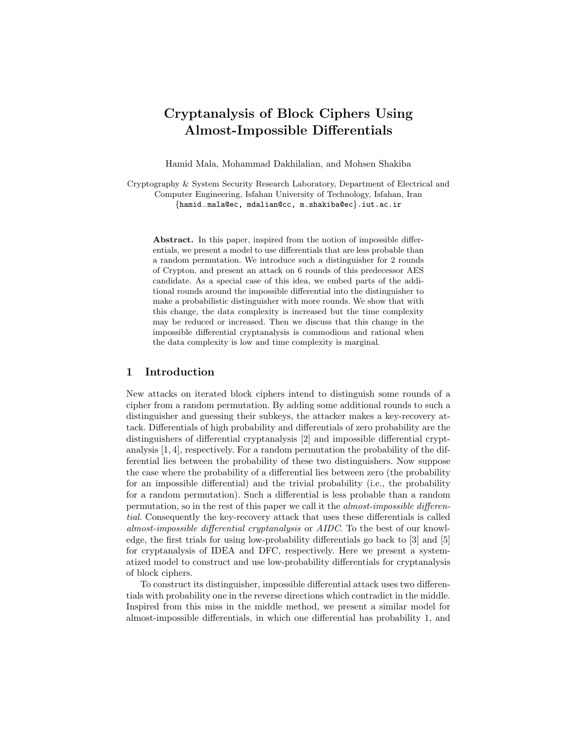# Cryptanalysis of Block Ciphers Using Almost-Impossible Differentials

Hamid Mala, Mohammad Dakhilalian, and Mohsen Shakiba

Cryptography & System Security Research Laboratory, Department of Electrical and Computer Engineering, Isfahan University of Technology, Isfahan, Iran {hamid−mala@ec, mdalian@cc, m.shakiba@ec}.iut.ac.ir

Abstract. In this paper, inspired from the notion of impossible differentials, we present a model to use differentials that are less probable than a random permutation. We introduce such a distinguisher for 2 rounds of Crypton, and present an attack on 6 rounds of this predecessor AES candidate. As a special case of this idea, we embed parts of the additional rounds around the impossible differential into the distinguisher to make a probabilistic distinguisher with more rounds. We show that with this change, the data complexity is increased but the time complexity may be reduced or increased. Then we discuss that this change in the impossible differential cryptanalysis is commodious and rational when the data complexity is low and time complexity is marginal.

## 1 Introduction

New attacks on iterated block ciphers intend to distinguish some rounds of a cipher from a random permutation. By adding some additional rounds to such a distinguisher and guessing their subkeys, the attacker makes a key-recovery attack. Differentials of high probability and differentials of zero probability are the distinguishers of differential cryptanalysis [2] and impossible differential cryptanalysis [1, 4], respectively. For a random permutation the probability of the differential lies between the probability of these two distinguishers. Now suppose the case where the probability of a differential lies between zero (the probability for an impossible differential) and the trivial probability (i.e., the probability for a random permutation). Such a differential is less probable than a random permutation, so in the rest of this paper we call it the almost-impossible differential. Consequently the key-recovery attack that uses these differentials is called almost-impossible differential cryptanalysis or AIDC. To the best of our knowledge, the first trials for using low-probability differentials go back to [3] and [5] for cryptanalysis of IDEA and DFC, respectively. Here we present a systematized model to construct and use low-probability differentials for cryptanalysis of block ciphers.

To construct its distinguisher, impossible differential attack uses two differentials with probability one in the reverse directions which contradict in the middle. Inspired from this miss in the middle method, we present a similar model for almost-impossible differentials, in which one differential has probability 1, and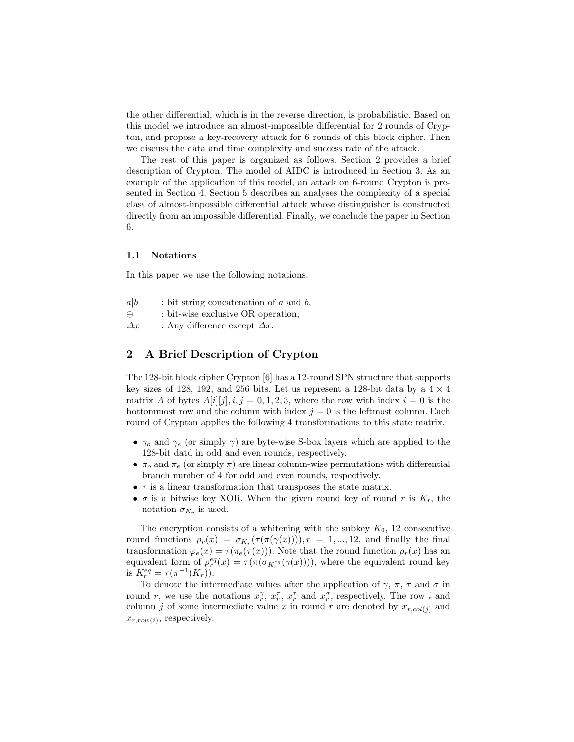the other differential, which is in the reverse direction, is probabilistic. Based on this model we introduce an almost-impossible differential for 2 rounds of Crypton, and propose a key-recovery attack for 6 rounds of this block cipher. Then we discuss the data and time complexity and success rate of the attack.

The rest of this paper is organized as follows. Section 2 provides a brief description of Crypton. The model of AIDC is introduced in Section 3. As an example of the application of this model, an attack on 6-round Crypton is presented in Section 4. Section 5 describes an analyses the complexity of a special class of almost-impossible differential attack whose distinguisher is constructed directly from an impossible differential. Finally, we conclude the paper in Section 6.

#### 1.1 Notations

In this paper we use the following notations.

- $a|b$  : bit string concatenation of a and b, ⊕ : bit-wise exclusive OR operation,
- $\overline{\Delta x}$  : Any difference except  $\Delta x$ .

# 2 A Brief Description of Crypton

The 128-bit block cipher Crypton [6] has a 12-round SPN structure that supports key sizes of 128, 192, and 256 bits. Let us represent a 128-bit data by a  $4 \times 4$ matrix A of bytes  $A[i][j], i, j = 0, 1, 2, 3$ , where the row with index  $i = 0$  is the bottommost row and the column with index  $j = 0$  is the leftmost column. Each round of Crypton applies the following 4 transformations to this state matrix.

- $\gamma_o$  and  $\gamma_e$  (or simply  $\gamma$ ) are byte-wise S-box layers which are applied to the 128-bit datd in odd and even rounds, respectively.
- $\pi_o$  and  $\pi_e$  (or simply  $\pi$ ) are linear column-wise permutations with differential branch number of 4 for odd and even rounds, respectively.
- $\tau$  is a linear transformation that transposes the state matrix.
- $\sigma$  is a bitwise key XOR. When the given round key of round r is  $K_r$ , the notation  $\sigma_{K_r}$  is used.

The encryption consists of a whitening with the subkey  $K_0$ , 12 consecutive round functions  $\rho_r(x) = \sigma_{K_r}(\tau(\pi(\gamma(x))))$ ,  $r = 1, ..., 12$ , and finally the final transformation  $\varphi_e(x) = \tau(\pi_e(\tau(x)))$ . Note that the round function  $\rho_r(x)$  has an equivalent form of  $\rho_r^{eq}(x) = \tau(\pi(\sigma_{K_r^{eq}}(\gamma(x))))$ , where the equivalent round key is  $K_r^{eq} = \tau(\pi^{-1}(K_r)).$ 

To denote the intermediate values after the application of  $\gamma$ ,  $\pi$ ,  $\tau$  and  $\sigma$  in round r, we use the notations  $x_r^{\gamma}$ ,  $x_r^{\pi}$ ,  $x_r^{\tau}$  and  $x_r^{\sigma}$ , respectively. The row i and column j of some intermediate value x in round r are denoted by  $x_{r,col(i)}$  and  $x_{r,row(i)}$ , respectively.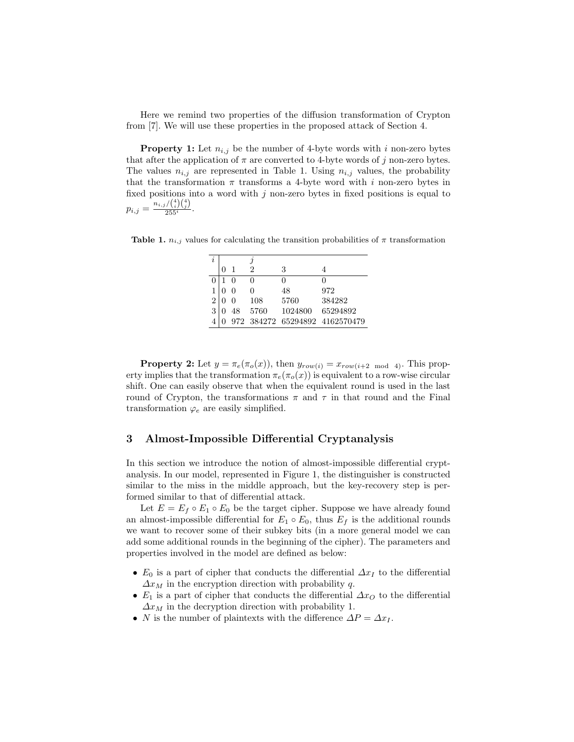Here we remind two properties of the diffusion transformation of Crypton from [7]. We will use these properties in the proposed attack of Section 4.

**Property 1:** Let  $n_{i,j}$  be the number of 4-byte words with i non-zero bytes that after the application of  $\pi$  are converted to 4-byte words of j non-zero bytes. The values  $n_{i,j}$  are represented in Table 1. Using  $n_{i,j}$  values, the probability that the transformation  $\pi$  transforms a 4-byte word with i non-zero bytes in fixed positions into a word with  $j$  non-zero bytes in fixed positions is equal to  $p_{i,j} = \frac{n_{i,j}/\binom{4}{i}\binom{4}{j}}{255^i}$ .

**Table 1.**  $n_{i,j}$  values for calculating the transition probabilities of  $\pi$  transformation

| i |              |    |      |         |                                |
|---|--------------|----|------|---------|--------------------------------|
|   | $\mathbf{0}$ |    | 2    | 3       |                                |
|   |              |    | O    |         |                                |
| 1 |              |    | ∩    | 48      | 972                            |
| 2 |              |    | 108  | 5760    | 384282                         |
| 3 |              | 48 | 5760 | 1024800 | 65294892                       |
|   |              |    |      |         | 972 384272 65294892 4162570479 |

**Property 2:** Let  $y = \pi_e(\pi_o(x))$ , then  $y_{row(i)} = x_{row(i+2 \mod 4)}$ . This property implies that the transformation  $\pi_e(\pi_o(x))$  is equivalent to a row-wise circular shift. One can easily observe that when the equivalent round is used in the last round of Crypton, the transformations  $\pi$  and  $\tau$  in that round and the Final transformation  $\varphi_e$  are easily simplified.

# 3 Almost-Impossible Differential Cryptanalysis

In this section we introduce the notion of almost-impossible differential cryptanalysis. In our model, represented in Figure 1, the distinguisher is constructed similar to the miss in the middle approach, but the key-recovery step is performed similar to that of differential attack.

Let  $E = E_f \circ E_1 \circ E_0$  be the target cipher. Suppose we have already found an almost-impossible differential for  $E_1 \circ E_0$ , thus  $E_f$  is the additional rounds we want to recover some of their subkey bits (in a more general model we can add some additional rounds in the beginning of the cipher). The parameters and properties involved in the model are defined as below:

- $E_0$  is a part of cipher that conducts the differential  $\Delta x_I$  to the differential  $\Delta x_M$  in the encryption direction with probability q.
- $E_1$  is a part of cipher that conducts the differential  $\Delta x_O$  to the differential  $\Delta x_M$  in the decryption direction with probability 1.
- N is the number of plaintexts with the difference  $\Delta P = \Delta x_I$ .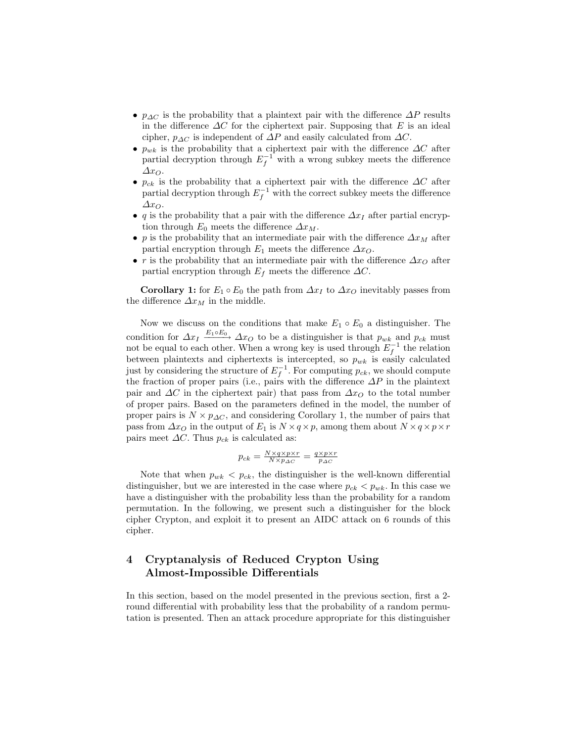- $p_{\Delta C}$  is the probability that a plaintext pair with the difference  $\Delta P$  results in the difference  $\Delta C$  for the ciphertext pair. Supposing that E is an ideal cipher,  $p_{\Delta C}$  is independent of  $\Delta P$  and easily calculated from  $\Delta C$ .
- $p_{wk}$  is the probability that a ciphertext pair with the difference  $\Delta C$  after partial decryption through  $E_f^{-1}$  with a wrong subkey meets the difference  $\Delta x_O$ .
- $p_{ck}$  is the probability that a ciphertext pair with the difference  $\Delta C$  after partial decryption through  $E_f^{-1}$  with the correct subkey meets the difference  $\Delta x_O$ .
- q is the probability that a pair with the difference  $\Delta x_I$  after partial encryption through  $E_0$  meets the difference  $\Delta x_M$ .
- p is the probability that an intermediate pair with the difference  $\Delta x_M$  after partial encryption through  $E_1$  meets the difference  $\Delta x_O$ .
- r is the probability that an intermediate pair with the difference  $\Delta x_O$  after partial encryption through  $E_f$  meets the difference  $\Delta C$ .

**Corollary 1:** for  $E_1 \circ E_0$  the path from  $\Delta x_I$  to  $\Delta x_O$  inevitably passes from the difference  $\Delta x_M$  in the middle.

Now we discuss on the conditions that make  $E_1 \circ E_0$  a distinguisher. The condition for  $\Delta x_I \xrightarrow{E_1 \circ E_0} \Delta x_O$  to be a distinguisher is that  $p_{wk}$  and  $p_{ck}$  must not be equal to each other. When a wrong key is used through  $E_f^{-1}$  the relation between plaintexts and ciphertexts is intercepted, so  $p_{wk}$  is easily calculated just by considering the structure of  $E_f^{-1}$ . For computing  $p_{ck}$ , we should compute the fraction of proper pairs (i.e., pairs with the difference  $\Delta P$  in the plaintext pair and  $\Delta C$  in the ciphertext pair) that pass from  $\Delta x_O$  to the total number of proper pairs. Based on the parameters defined in the model, the number of proper pairs is  $N \times p_{\Delta C}$ , and considering Corollary 1, the number of pairs that pass from  $\Delta x_O$  in the output of  $E_1$  is  $N \times q \times p$ , among them about  $N \times q \times p \times r$ pairs meet  $\Delta C$ . Thus  $p_{ck}$  is calculated as:

$$
p_{ck} = \frac{N \times q \times p \times r}{N \times p_{\Delta C}} = \frac{q \times p \times r}{p_{\Delta C}}
$$

Note that when  $p_{wk} < p_{ck}$ , the distinguisher is the well-known differential distinguisher, but we are interested in the case where  $p_{ck} < p_{wk}$ . In this case we have a distinguisher with the probability less than the probability for a random permutation. In the following, we present such a distinguisher for the block cipher Crypton, and exploit it to present an AIDC attack on 6 rounds of this cipher.

# 4 Cryptanalysis of Reduced Crypton Using Almost-Impossible Differentials

In this section, based on the model presented in the previous section, first a 2 round differential with probability less that the probability of a random permutation is presented. Then an attack procedure appropriate for this distinguisher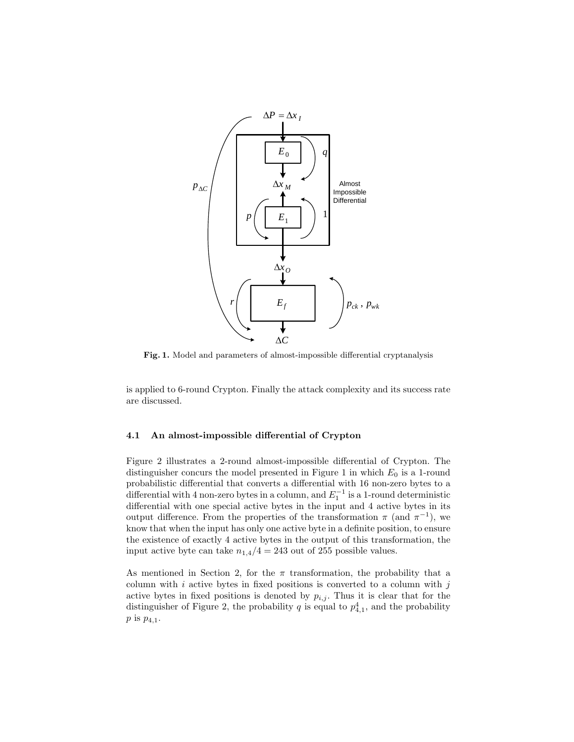

Fig. 1. Model and parameters of almost-impossible differential cryptanalysis

is applied to 6-round Crypton. Finally the attack complexity and its success rate are discussed.

#### 4.1 An almost-impossible differential of Crypton

Figure 2 illustrates a 2-round almost-impossible differential of Crypton. The distinguisher concurs the model presented in Figure 1 in which  $E_0$  is a 1-round probabilistic differential that converts a differential with 16 non-zero bytes to a differential with 4 non-zero bytes in a column, and  $E_1^{-1}$  is a 1-round deterministic differential with one special active bytes in the input and 4 active bytes in its output difference. From the properties of the transformation  $\pi$  (and  $\pi^{-1}$ ), we know that when the input has only one active byte in a definite position, to ensure the existence of exactly 4 active bytes in the output of this transformation, the input active byte can take  $n_{1,4}/4 = 243$  out of 255 possible values.

As mentioned in Section 2, for the  $\pi$  transformation, the probability that a column with  $i$  active bytes in fixed positions is converted to a column with  $j$ active bytes in fixed positions is denoted by  $p_{i,j}$ . Thus it is clear that for the distinguisher of Figure 2, the probability q is equal to  $p_{4,1}^4$ , and the probability  $p$  is  $p_{4,1}$ .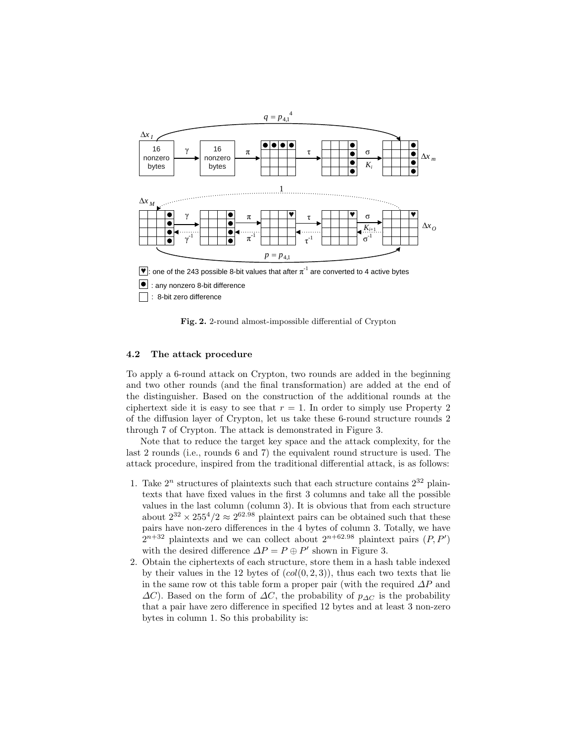

□ : 8-bit zero difference

Fig. 2. 2-round almost-impossible differential of Crypton

#### 4.2 The attack procedure

To apply a 6-round attack on Crypton, two rounds are added in the beginning and two other rounds (and the final transformation) are added at the end of the distinguisher. Based on the construction of the additional rounds at the ciphertext side it is easy to see that  $r = 1$ . In order to simply use Property 2 of the diffusion layer of Crypton, let us take these 6-round structure rounds 2 through 7 of Crypton. The attack is demonstrated in Figure 3.

Note that to reduce the target key space and the attack complexity, for the last 2 rounds (i.e., rounds 6 and 7) the equivalent round structure is used. The attack procedure, inspired from the traditional differential attack, is as follows:

- 1. Take  $2^n$  structures of plaintexts such that each structure contains  $2^{32}$  plaintexts that have fixed values in the first 3 columns and take all the possible values in the last column (column 3). It is obvious that from each structure about  $2^{32} \times 255^4/2 \approx 2^{62.98}$  plaintext pairs can be obtained such that these pairs have non-zero differences in the 4 bytes of column 3. Totally, we have  $2^{n+32}$  plaintexts and we can collect about  $2^{n+62.98}$  plaintext pairs  $(P, P')$ with the desired difference  $\Delta P = P \oplus P'$  shown in Figure 3.
- 2. Obtain the ciphertexts of each structure, store them in a hash table indexed by their values in the 12 bytes of  $(col(0, 2, 3))$ , thus each two texts that lie in the same row ot this table form a proper pair (with the required  $\Delta P$  and  $\Delta C$ ). Based on the form of  $\Delta C$ , the probability of  $p_{\Delta C}$  is the probability that a pair have zero difference in specified 12 bytes and at least 3 non-zero bytes in column 1. So this probability is: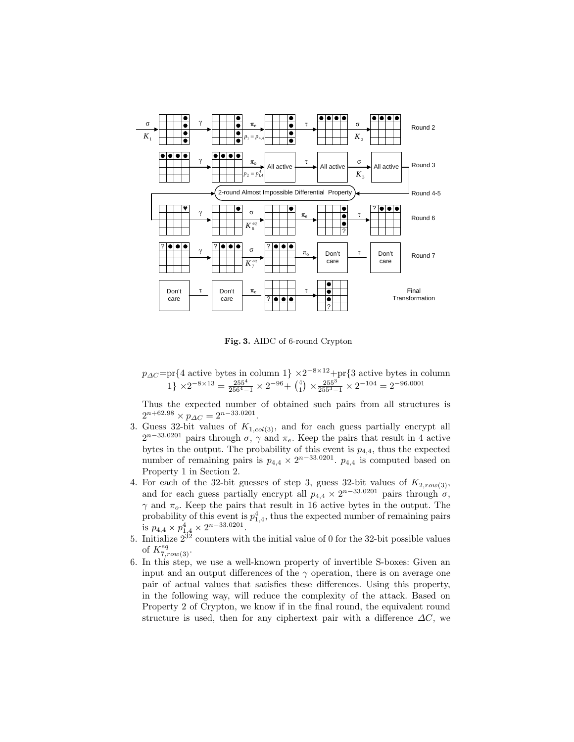

Fig. 3. AIDC of 6-round Crypton

 $p_{\Delta C}$ =pr{4 active bytes in column 1}  $\times 2^{-8\times12}$ +pr{3 active bytes in column 1}  $\times 2^{-8 \times 13} = \frac{255^4}{256^4 - 1} \times 2^{-96} + {4 \choose 1} \times \frac{255^3}{255^3 - 1} \times 2^{-104} = 2^{-96.0001}$ 

Thus the expected number of obtained such pairs from all structures is  $2^{n+62.98} \times p_{\Delta C} = 2^{n-33.0201}.$ 

- 3. Guess 32-bit values of  $K_{1,col(3)}$ , and for each guess partially encrypt all  $2^{n-33.0201}$  pairs through  $\sigma$ ,  $\gamma$  and  $\pi_e$ . Keep the pairs that result in 4 active bytes in the output. The probability of this event is  $p_{4,4}$ , thus the expected number of remaining pairs is  $p_{4,4} \times 2^{n-33.0201}$ .  $p_{4,4}$  is computed based on Property 1 in Section 2.
- 4. For each of the 32-bit guesses of step 3, guess 32-bit values of  $K_{2,row(3)}$ , and for each guess partially encrypt all  $p_{4,4} \times 2^{n-33.0201}$  pairs through  $\sigma$ ,  $\gamma$  and  $\pi_o$ . Keep the pairs that result in 16 active bytes in the output. The probability of this event is  $p_{1,4}^4$ , thus the expected number of remaining pairs is  $p_{4,4} \times p_{1,4}^4 \times 2^{n-33.0201}$ .
- 5. Initialize  $2^{32}$  counters with the initial value of 0 for the 32-bit possible values of  $K_{7,row(3)}^{eq}$ .
- 6. In this step, we use a well-known property of invertible S-boxes: Given an input and an output differences of the  $\gamma$  operation, there is on average one pair of actual values that satisfies these differences. Using this property, in the following way, will reduce the complexity of the attack. Based on Property 2 of Crypton, we know if in the final round, the equivalent round structure is used, then for any ciphertext pair with a difference  $\Delta C$ , we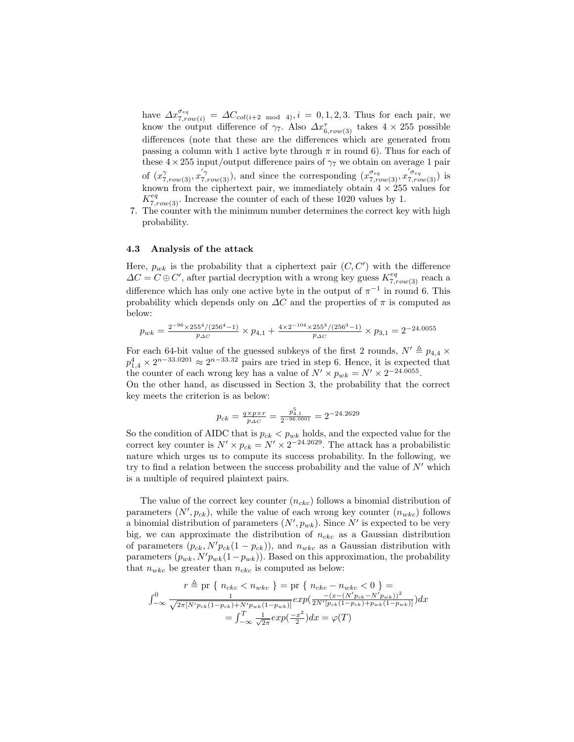have  $\Delta x_{7,row(i)}^{σ_{eq}} = \Delta C_{col(i+2 \mod 4)}, i = 0, 1, 2, 3$ . Thus for each pair, we know the output difference of  $\gamma_7$ . Also  $\Delta x_{6,row(3)}^{\tau}$  takes  $4 \times 255$  possible differences (note that these are the differences which are generated from passing a column with 1 active byte through  $\pi$  in round 6). Thus for each of these  $4 \times 255$  input/output difference pairs of  $\gamma_7$  we obtain on average 1 pair of  $(x_{7,row(3)}^{\gamma}, x_{7,row(3)}^{'\gamma})$ , and since the corresponding  $(x_{7,row(3)}^{\sigma_{eq}}, x_{7,row(3)}^{'\sigma_{eq}})$  is known from the ciphertext pair, we immediately obtain  $4 \times 255$  values for  $K_{7,row(3)}^{eq}$ . Increase the counter of each of these 1020 values by 1.

7. The counter with the minimum number determines the correct key with high probability.

#### 4.3 Analysis of the attack

Here,  $p_{wk}$  is the probability that a ciphertext pair  $(C, C')$  with the difference  $\Delta C = C \oplus C'$ , after partial decryption with a wrong key guess  $K_{7,row(3)}^{eq}$  reach a difference which has only one active byte in the output of  $\pi^{-1}$  in round 6. This probability which depends only on  $\Delta C$  and the properties of  $\pi$  is computed as below:

$$
p_{wk} = \frac{2^{-96} \times 255^4 / (256^4 - 1)}{p_{\Delta C}} \times p_{4,1} + \frac{4 \times 2^{-104} \times 255^3 / (256^3 - 1)}{p_{\Delta C}} \times p_{3,1} = 2^{-24.0055}
$$

For each 64-bit value of the guessed subkeys of the first 2 rounds,  $N' \triangleq p_{4,4} \times$  $p_{1,4}^4 \times 2^{n-33.0201} \approx 2^{n-33.32}$  pairs are tried in step 6. Hence, it is expected that the counter of each wrong key has a value of  $N' \times p_{wk} = N' \times 2^{-24.0055}$ .

On the other hand, as discussed in Section 3, the probability that the correct key meets the criterion is as below:

$$
p_{ck} = \frac{q \times p \times r}{p_{\Delta C}} = \frac{p_{4,1}^5}{2^{-96.0001}} = 2^{-24.2629}
$$

So the condition of AIDC that is  $p_{ck} < p_{wk}$  holds, and the expected value for the correct key counter is  $N' \times p_{ck} = N' \times 2^{-24.2629}$ . The attack has a probabilistic nature which urges us to compute its success probability. In the following, we try to find a relation between the success probability and the value of  $N'$  which is a multiple of required plaintext pairs.

The value of the correct key counter  $(n_{ckc})$  follows a binomial distribution of parameters  $(N', p_{ck})$ , while the value of each wrong key counter  $(n_{wkc})$  follows a binomial distribution of parameters  $(N', p_{wk})$ . Since N' is expected to be very big, we can approximate the distribution of  $n_{cke}$  as a Gaussian distribution of parameters  $(p_{ck}, N'p_{ck}(1-p_{ck}))$ , and  $n_{wkc}$  as a Gaussian distribution with parameters  $(p_{wk}, N'p_{wk}(1-p_{wk}))$ . Based on this approximation, the probability that  $n_{wkc}$  be greater than  $n_{ckc}$  is computed as below:

$$
r \triangleq \text{pr}\{n_{ckc} < n_{wkc}\} = \text{pr}\{n_{ckc} - n_{wkc} < 0\} =
$$
\n
$$
\int_{-\infty}^{0} \frac{1}{\sqrt{2\pi [N'p_{ck}(1-p_{ck}) + N'p_{wk}(1-p_{wk})]}} exp\left(\frac{-(x - (N'p_{ck} - N'p_{wk}))^2}{2N'[p_{ck}(1-p_{ck}) + p_{wk}(1-p_{wk})]}\right) dx
$$
\n
$$
= \int_{-\infty}^{T} \frac{1}{\sqrt{2\pi}} exp\left(\frac{-x^2}{2}\right) dx = \varphi(T)
$$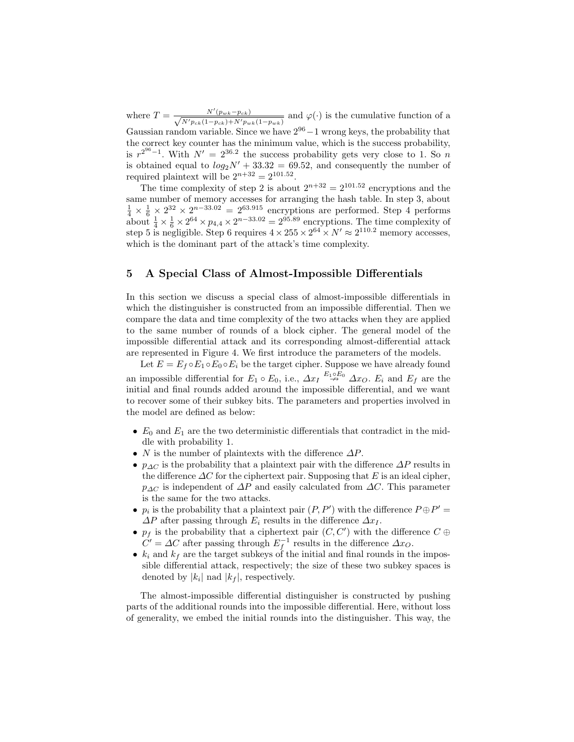where  $T = \frac{N'(p_{wk}-p_{ck})}{\sqrt{N'(p_{wk}-p_{ck})}$  $\frac{N(p_{wk}-p_{ck})}{N'p_{ck}(1-p_{ck})+N'p_{wk}(1-p_{wk})}$  and  $\varphi(\cdot)$  is the cumulative function of a Gaussian random variable. Since we have  $2^{96} - 1$  wrong keys, the probability that the correct key counter has the minimum value, which is the success probability, is  $r^{2^{96}-1}$ . With  $N' = 2^{36.2}$  the success probability gets very close to 1. So n is obtained equal to  $log_2 N' + 33.32 = 69.52$ , and consequently the number of required plaintext will be  $2^{n+32} = 2^{101.52}$ .

The time complexity of step 2 is about  $2^{n+32} = 2^{101.52}$  encryptions and the same number of memory accesses for arranging the hash table. In step 3, about  $\frac{1}{4} \times \frac{1}{6} \times 2^{32} \times 2^{n-33.02} = 2^{63.915}$  encryptions are performed. Step 4 performs about  $\frac{1}{4} \times \frac{1}{6} \times 2^{64} \times p_{4,4} \times 2^{n-33.02} = 2^{95.89}$  encryptions. The time complexity of step 5 is negligible. Step 6 requires  $4 \times 255 \times 2^{64} \times N' \approx 2^{110.2}$  memory accesses, which is the dominant part of the attack's time complexity.

# 5 A Special Class of Almost-Impossible Differentials

In this section we discuss a special class of almost-impossible differentials in which the distinguisher is constructed from an impossible differential. Then we compare the data and time complexity of the two attacks when they are applied to the same number of rounds of a block cipher. The general model of the impossible differential attack and its corresponding almost-differential attack are represented in Figure 4. We first introduce the parameters of the models.

Let  $E = E_f \circ E_1 \circ E_0 \circ E_i$  be the target cipher. Suppose we have already found an impossible differential for  $E_1 \circ E_0$ , i.e.,  $\Delta x_I \stackrel{E_1 \circ E_0}{\rightarrow} \Delta x_O$ .  $E_i$  and  $E_f$  are the initial and final rounds added around the impossible differential, and we want to recover some of their subkey bits. The parameters and properties involved in the model are defined as below:

- $E_0$  and  $E_1$  are the two deterministic differentials that contradict in the middle with probability 1.
- N is the number of plaintexts with the difference  $\Delta P$ .
- $p_{\Delta C}$  is the probability that a plaintext pair with the difference  $\Delta P$  results in the difference  $\Delta C$  for the ciphertext pair. Supposing that E is an ideal cipher,  $p_{\Delta C}$  is independent of  $\Delta P$  and easily calculated from  $\Delta C$ . This parameter is the same for the two attacks.
- $p_i$  is the probability that a plaintext pair  $(P, P')$  with the difference  $P \oplus P' =$  $\Delta P$  after passing through  $E_i$  results in the difference  $\Delta x_I$ .
- $p_f$  is the probability that a ciphertext pair  $(C, C')$  with the difference  $C \oplus$  $C' = \Delta C$  after passing through  $E_f^{-1}$  results in the difference  $\Delta x_O$ .
- $k_i$  and  $k_f$  are the target subkeys of the initial and final rounds in the impossible differential attack, respectively; the size of these two subkey spaces is denoted by  $|k_i|$  nad  $|k_f|$ , respectively.

The almost-impossible differential distinguisher is constructed by pushing parts of the additional rounds into the impossible differential. Here, without loss of generality, we embed the initial rounds into the distinguisher. This way, the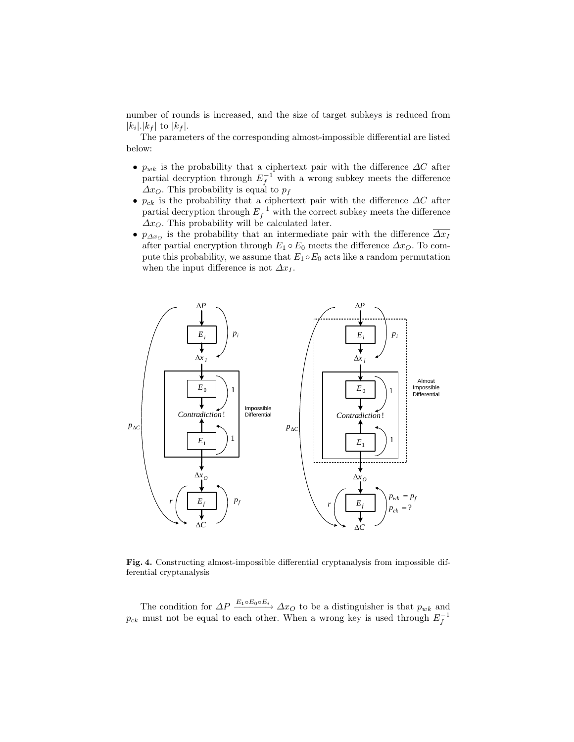number of rounds is increased, and the size of target subkeys is reduced from  $|k_i|$ . $|k_f|$  to  $|k_f|$ .

The parameters of the corresponding almost-impossible differential are listed below:

- $p_{wk}$  is the probability that a ciphertext pair with the difference  $\Delta C$  after partial decryption through  $E_f^{-1}$  with a wrong subkey meets the difference  $\Delta x_O$ . This probability is equal to  $p_f$
- $p_{ck}$  is the probability that a ciphertext pair with the difference  $\Delta C$  after partial decryption through  $E_f^{-1}$  with the correct subkey meets the difference  $\Delta x_O$ . This probability will be calculated later.
- $p_{\Delta x_O}$  is the probability that an intermediate pair with the difference  $\overline{\Delta x_I}$ after partial encryption through  $E_1 \circ E_0$  meets the difference  $\Delta x_O$ . To compute this probability, we assume that  $E_1 \circ E_0$  acts like a random permutation when the input difference is not  $\Delta x_I$ .



Fig. 4. Constructing almost-impossible differential cryptanalysis from impossible differential cryptanalysis

The condition for  $\Delta P \xrightarrow{E_1 \circ E_0 \circ E_i} \Delta x_O$  to be a distinguisher is that  $p_{wk}$  and  $p_{ck}$  must not be equal to each other. When a wrong key is used through  $E_f^{-1}$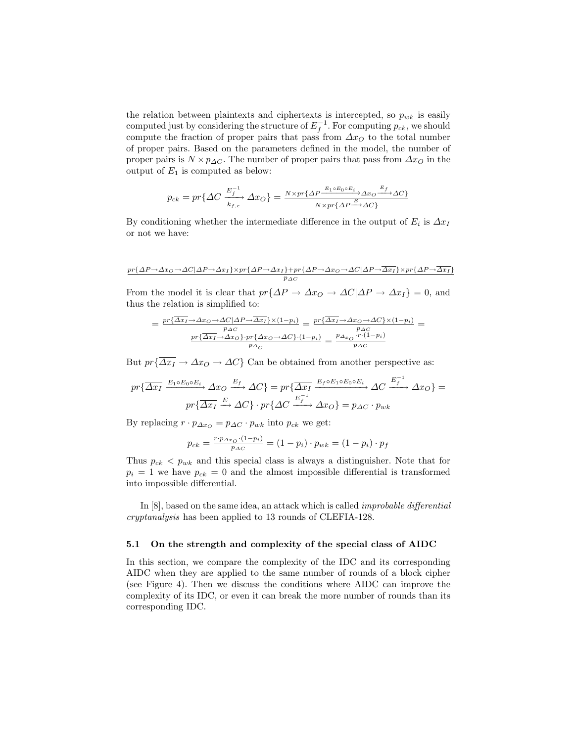the relation between plaintexts and ciphertexts is intercepted, so  $p_{wk}$  is easily computed just by considering the structure of  $E_f^{-1}$ . For computing  $p_{ck}$ , we should compute the fraction of proper pairs that pass from  $\Delta x_O$  to the total number of proper pairs. Based on the parameters defined in the model, the number of proper pairs is  $N \times p_{\Delta C}$ . The number of proper pairs that pass from  $\Delta x_O$  in the output of  $E_1$  is computed as below:

$$
p_{ck} = pr\{\Delta C \xrightarrow[k_{f,c}]{E_f^{-1}} \Delta x_O\} = \frac{N \times pr\{\Delta P \xrightarrow{E_1 \circ E_0 \circ E_i} \Delta x_O \xrightarrow{E_f} \Delta C\}}{N \times pr\{\Delta P \xrightarrow{E} \Delta C\}}
$$

By conditioning whether the intermediate difference in the output of  $E_i$  is  $\Delta x_I$ or not we have:

$$
\underbrace{pr\{\varDelta P\!\to\!\varDelta x_O\!\to\!\varDelta C|\varDelta P\!\to\!\varDelta x_I\}\!\times\!pr\{\varDelta P\!\to\!\varDelta x_I\}\!+\!pr\{\varDelta P\!\to\!\varDelta x_O\!\to\!\varDelta C|\varDelta P\!\to\!\varDelta x_I\}\!\times\!pr\{\varDelta P\!\to\!\varDelta x_I\}}_{P\varDelta C}
$$

From the model it is clear that  $pr\{\Delta P \to \Delta x_O \to \Delta C|\Delta P \to \Delta x_I\} = 0$ , and thus the relation is simplified to:

$$
= \frac{pr\{\overline{\Delta x_I} \to \Delta x_O \to \Delta C | \Delta P \to \overline{\Delta x_I}\} \times (1-p_i)}{p_{\Delta C}} = \frac{pr\{\overline{\Delta x_I} \to \Delta x_O \to \Delta C\} \times (1-p_i)}{p_{\Delta C}}
$$

$$
= \frac{pr\{\overline{\Delta x_I} \to \Delta x_O\} \cdot pr\{\Delta x_O \to \Delta C\} \cdot (1-p_i)}{p_{\Delta C}} = \frac{p_{\Delta x_O} \cdot r \cdot (1-p_i)}{p_{\Delta C}}
$$

But  $pr{\overline{\Delta x_I}} \to \Delta x_O \to \Delta C$  Can be obtained from another perspective as:

$$
pr\{\overline{\Delta x_{I}} \xrightarrow{E_{1} \circ E_{0} \circ E_{i}} \Delta x_{O} \xrightarrow{E_{f}} \Delta C\} = pr\{\overline{\Delta x_{I}} \xrightarrow{E_{f} \circ E_{1} \circ E_{0} \circ E_{i}} \Delta C \xrightarrow{E_{f}^{-1}} \Delta x_{O}\} =
$$

$$
pr\{\overline{\Delta x_{I}} \xrightarrow{E} \Delta C\} \cdot pr\{\Delta C \xrightarrow{E_{f}^{-1}} \Delta x_{O}\} = p_{\Delta C} \cdot p_{wk}
$$

By replacing  $r \cdot p_{\Delta x_O} = p_{\Delta C} \cdot p_{wk}$  into  $p_{ck}$  we get:

$$
p_{ck} = \frac{r \cdot p_{\Delta x_O} \cdot (1 - p_i)}{p_{\Delta C}} = (1 - p_i) \cdot p_{wk} = (1 - p_i) \cdot p_f
$$

Thus  $p_{ck}$  <  $p_{wk}$  and this special class is always a distinguisher. Note that for  $p_i = 1$  we have  $p_{ck} = 0$  and the almost impossible differential is transformed into impossible differential.

In [8], based on the same idea, an attack which is called improbable differential cryptanalysis has been applied to 13 rounds of CLEFIA-128.

#### 5.1 On the strength and complexity of the special class of AIDC

In this section, we compare the complexity of the IDC and its corresponding AIDC when they are applied to the same number of rounds of a block cipher (see Figure 4). Then we discuss the conditions where AIDC can improve the complexity of its IDC, or even it can break the more number of rounds than its corresponding IDC.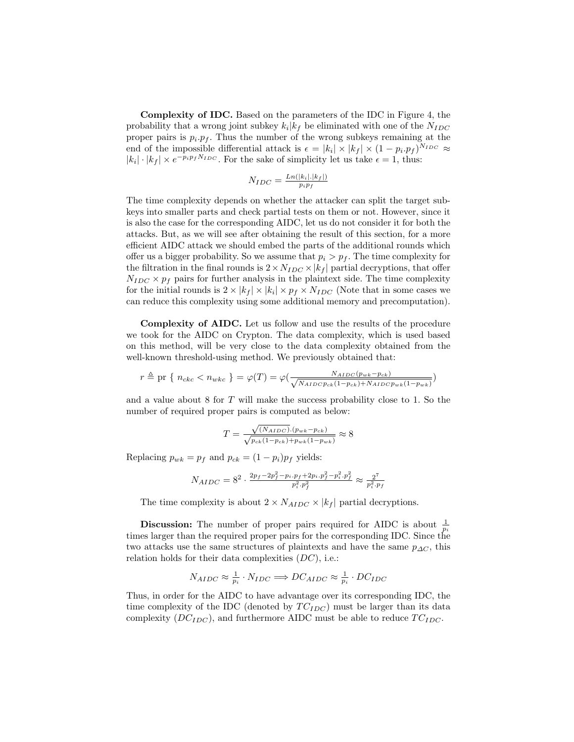Complexity of IDC. Based on the parameters of the IDC in Figure 4, the probability that a wrong joint subkey  $k_i | k_f$  be eliminated with one of the  $N_{IDC}$ proper pairs is  $p_i \cdot p_f$ . Thus the number of the wrong subkeys remaining at the end of the impossible differential attack is  $\epsilon = |k_i| \times |k_f| \times (1 - p_i \cdot p_f)^{N_{IDC}} \approx$  $|k_i| \cdot |k_f| \times e^{-p_i p_f N_{IDC}}$ . For the sake of simplicity let us take  $\epsilon = 1$ , thus:

$$
N_{IDC} = \frac{Ln(|k_i|, |k_f|)}{p_i p_f}
$$

The time complexity depends on whether the attacker can split the target subkeys into smaller parts and check partial tests on them or not. However, since it is also the case for the corresponding AIDC, let us do not consider it for both the attacks. But, as we will see after obtaining the result of this section, for a more efficient AIDC attack we should embed the parts of the additional rounds which offer us a bigger probability. So we assume that  $p_i > p_f$ . The time complexity for the filtration in the final rounds is  $2 \times N_{IDC} \times |k_f|$  partial decryptions, that offer  $N_{IDC} \times p_f$  pairs for further analysis in the plaintext side. The time complexity for the initial rounds is  $2 \times |k_f| \times |k_i| \times p_f \times N_{IDC}$  (Note that in some cases we can reduce this complexity using some additional memory and precomputation).

Complexity of AIDC. Let us follow and use the results of the procedure we took for the AIDC on Crypton. The data complexity, which is used based on this method, will be very close to the data complexity obtained from the well-known threshold-using method. We previously obtained that:

$$
r \triangleq \text{pr} \{ n_{ckc} < n_{wkc} \} = \varphi(T) = \varphi\left(\frac{N_{AIDC}(p_{wk} - p_{ck})}{\sqrt{N_{AIDC}p_{ck}(1 - p_{ck}) + N_{AIDC}p_{wk}(1 - p_{wk})}}\right)
$$

and a value about 8 for T will make the success probability close to 1. So the number of required proper pairs is computed as below:

$$
T = \frac{\sqrt{(N_{AIDC})} (p_{wk} - p_{ck})}{\sqrt{p_{ck}(1 - p_{ck}) + p_{wk}(1 - p_{wk})}} \approx 8
$$

Replacing  $p_{wk} = p_f$  and  $p_{ck} = (1 - p_i)p_f$  yields:

$$
N_{AIDC} = 8^{2} \cdot \frac{2p_{f} - 2p_{f}^{2} - p_{i} \cdot p_{f} + 2p_{i} \cdot p_{f}^{2} - p_{i}^{2} \cdot p_{f}^{2}}{p_{i}^{2} \cdot p_{f}^{2}} \approx \frac{2^{7}}{p_{i}^{2} \cdot p_{f}}
$$

The time complexity is about  $2 \times N_{AIDC} \times |k_f|$  partial decryptions.

**Discussion:** The number of proper pairs required for AIDC is about  $\frac{1}{p_i}$ times larger than the required proper pairs for the corresponding IDC. Since the two attacks use the same structures of plaintexts and have the same  $p_{\Delta C}$ , this relation holds for their data complexities  $(DC)$ , i.e.:

$$
N_{AIDC} \approx \frac{1}{p_i} \cdot N_{IDC} \Longrightarrow DC_{AIDC} \approx \frac{1}{p_i} \cdot DC_{IDC}
$$

Thus, in order for the AIDC to have advantage over its corresponding IDC, the time complexity of the IDC (denoted by  $TC_{IDC}$ ) must be larger than its data complexity  $(DC_{IDC})$ , and furthermore AIDC must be able to reduce  $TC_{IDC}$ .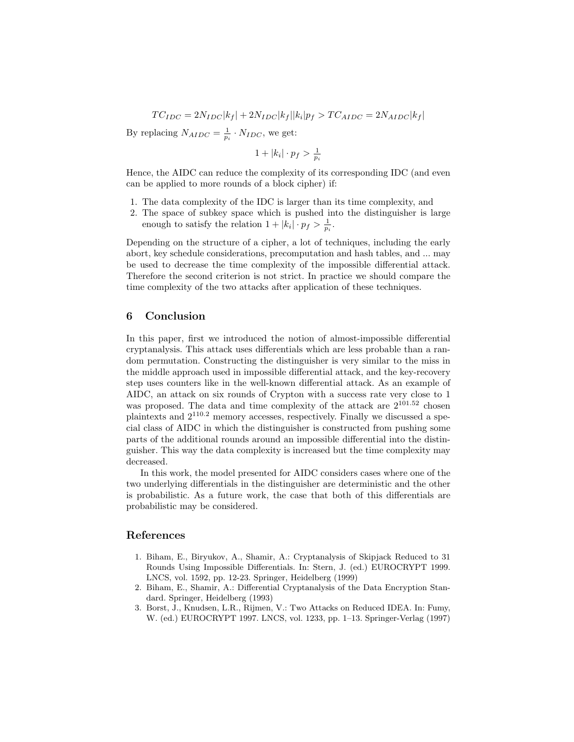$$
TC_{IDC} = 2N_{IDC} |k_f| + 2N_{IDC} |k_f| |k_i| p_f > TC_{AIDC} = 2N_{AIDC} |k_f|
$$

By replacing  $N_{AIDC} = \frac{1}{p_i} \cdot N_{IDC}$ , we get:

$$
1+|k_i|\cdot p_f > \frac{1}{p_i}
$$

Hence, the AIDC can reduce the complexity of its corresponding IDC (and even can be applied to more rounds of a block cipher) if:

- 1. The data complexity of the IDC is larger than its time complexity, and
- 2. The space of subkey space which is pushed into the distinguisher is large enough to satisfy the relation  $1 + |k_i| \cdot p_f > \frac{1}{p_i}$ .

Depending on the structure of a cipher, a lot of techniques, including the early abort, key schedule considerations, precomputation and hash tables, and ... may be used to decrease the time complexity of the impossible differential attack. Therefore the second criterion is not strict. In practice we should compare the time complexity of the two attacks after application of these techniques.

### 6 Conclusion

In this paper, first we introduced the notion of almost-impossible differential cryptanalysis. This attack uses differentials which are less probable than a random permutation. Constructing the distinguisher is very similar to the miss in the middle approach used in impossible differential attack, and the key-recovery step uses counters like in the well-known differential attack. As an example of AIDC, an attack on six rounds of Crypton with a success rate very close to 1 was proposed. The data and time complexity of the attack are  $2^{101.52}$  chosen plaintexts and 2110.<sup>2</sup> memory accesses, respectively. Finally we discussed a special class of AIDC in which the distinguisher is constructed from pushing some parts of the additional rounds around an impossible differential into the distinguisher. This way the data complexity is increased but the time complexity may decreased.

In this work, the model presented for AIDC considers cases where one of the two underlying differentials in the distinguisher are deterministic and the other is probabilistic. As a future work, the case that both of this differentials are probabilistic may be considered.

# References

- 1. Biham, E., Biryukov, A., Shamir, A.: Cryptanalysis of Skipjack Reduced to 31 Rounds Using Impossible Differentials. In: Stern, J. (ed.) EUROCRYPT 1999. LNCS, vol. 1592, pp. 12-23. Springer, Heidelberg (1999)
- 2. Biham, E., Shamir, A.: Differential Cryptanalysis of the Data Encryption Standard. Springer, Heidelberg (1993)
- 3. Borst, J., Knudsen, L.R., Rijmen, V.: Two Attacks on Reduced IDEA. In: Fumy, W. (ed.) EUROCRYPT 1997. LNCS, vol. 1233, pp. 1–13. Springer-Verlag (1997)